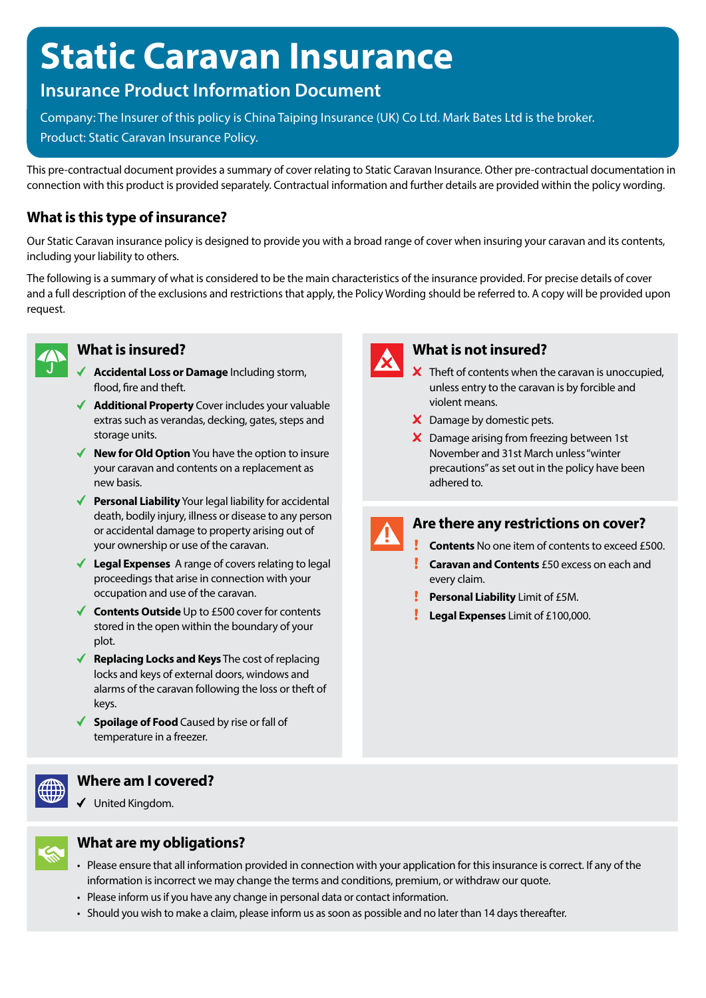# **Static Caravan Insurance**

# **Insurance Product Information Document**

Company: The Insurer of this policy is China Taiping Insurance (UK) Co Ltd. Mark Bates Ltd is the broker. Product: Static Caravan Insurance Policy.

This pre-contractual document provides a summary of cover relating to Static Caravan Insurance. Other pre-contractual documentation in connection with this product is provided separately. Contractual information and further details are provided within the policy wording.

# **What is this type of insurance?**

Our Static Caravan insurance policy is designed to provide you with a broad range of cover when insuring your caravan and its contents, including your liability to others.

The following is a summary of what is considered to be the main characteristics of the insurance provided. For precise details of cover and a full description of the exclusions and restrictions that apply, the Policy Wording should be referred to. A copy will be provided upon request.



### **What is insured?**

- **Accidental Loss or Damage** Including storm, flood, fire and theft.
- ◆ **Additional Property** Cover includes your valuable extras such as verandas, decking, gates, steps and storage units.
- ◆ **New for Old Option** You have the option to insure your caravan and contents on a replacement as new basis.
- ◆ **Personal Liability** Your legal liability for accidental death, bodily injury, illness or disease to any person or accidental damage to property arising out of your ownership or use of the caravan.
- **Legal Expenses** A range of covers relating to legal proceedings that arise in connection with your occupation and use of the caravan.
- **Contents Outside** Up to £500 cover for contents stored in the open within the boundary of your plot.
- ◆ **Replacing Locks and Keys** The cost of replacing locks and keys of external doors, windows and alarms of the caravan following the loss or theft of keys.
- ◆ **Spoilage of Food** Caused by rise or fall of temperature in a freezer.



# **Where am I covered?**

United Kingdom.



# **What are my obligations?**

- Please ensure that all information provided in connection with your application for this insurance is correct. If any of the information is incorrect we may change the terms and conditions, premium, or withdraw our quote.
- Please inform us if you have any change in personal data or contact information.
- Should you wish to make a claim, please inform us as soon as possible and no later than 14 days thereafter.



# **What is not insured?**

- $\boldsymbol{\times}$  Theft of contents when the caravan is unoccupied, unless entry to the caravan is by forcible and violent means.
- X Damage by domestic pets.
- X Damage arising from freezing between 1st November and 31st March unless "winter precautions" as set out in the policy have been adhered to.



# **Are there any restrictions on cover?**

- **Contents** No one item of contents to exceed £500.
- **Caravan and Contents** £50 excess on each and every claim.
- **Personal Liability** Limit of £5M.
- **Legal Expenses** Limit of £100,000.